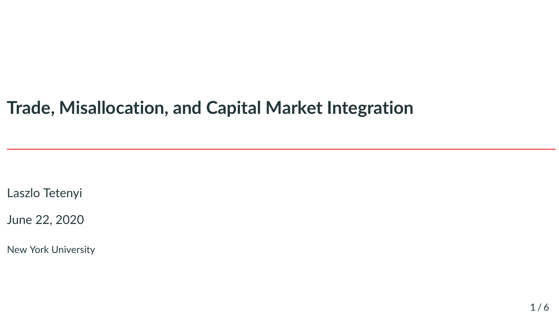# **Trade, Misallocation, and Capital Market Integration**

Laszlo Tetenyi

June 22, 2020

New York University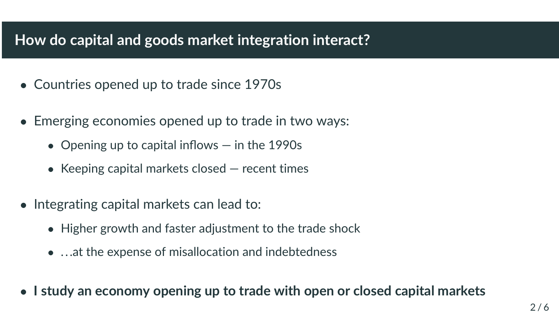# **How do capital and goods market integration interact?**

- Countries opened up to trade since 1970s
- Emerging economies opened up to trade in two ways:
	- Opening up to capital inflows in the 1990s
	- Keeping capital markets closed  $-$  recent times
- Integrating capital markets can lead to:
	- Higher growth and faster adjustment to the trade shock
	- ...at the expense of misallocation and indebtedness
- **I study an economy opening up to trade with open or closed capital markets**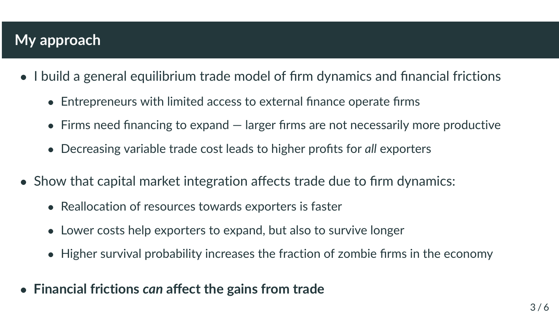## **My approach**

- I build a general equilibrium trade model of firm dynamics and financial frictions
	- Entrepreneurs with limited access to external finance operate firms
	- Firms need financing to expand larger firms are not necessarily more productive
	- Decreasing variable trade cost leads to higher profits for *all* exporters
- Show that capital market integration affects trade due to firm dynamics:
	- Reallocation of resources towards exporters is faster
	- Lower costs help exporters to expand, but also to survive longer
	- Higher survival probability increases the fraction of zombie firms in the economy
- **Financial frictions** *can* **affect the gains from trade**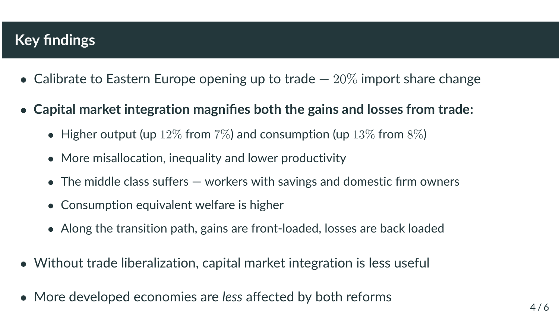# **Key findings**

- Calibrate to Eastern Europe opening up to trade  $-20\%$  import share change
- **Capital market integration magnifies both the gains and losses from trade:**
	- Higher output (up  $12\%$  from  $7\%$ ) and consumption (up  $13\%$  from  $8\%$ )
	- More misallocation, inequality and lower productivity
	- The middle class suffers workers with savings and domestic firm owners
	- Consumption equivalent welfare is higher
	- Along the transition path, gains are front-loaded, losses are back loaded
- Without trade liberalization, capital market integration is less useful
- More developed economies are *less* affected by both reforms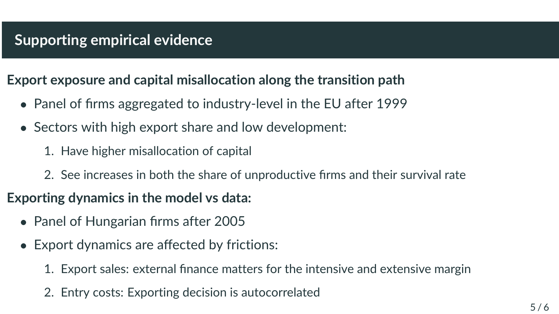#### **Export exposure and capital misallocation along the transition path**

- Panel of firms aggregated to industry-level in the EU after 1999
- Sectors with high export share and low development:
	- 1. Have higher misallocation of capital
	- 2. See increases in both the share of unproductive firms and their survival rate

### **Exporting dynamics in the model vs data:**

- Panel of Hungarian firms after 2005
- Export dynamics are affected by frictions:
	- 1. Export sales: external finance matters for the intensive and extensive margin
	- 2. Entry costs: Exporting decision is autocorrelated